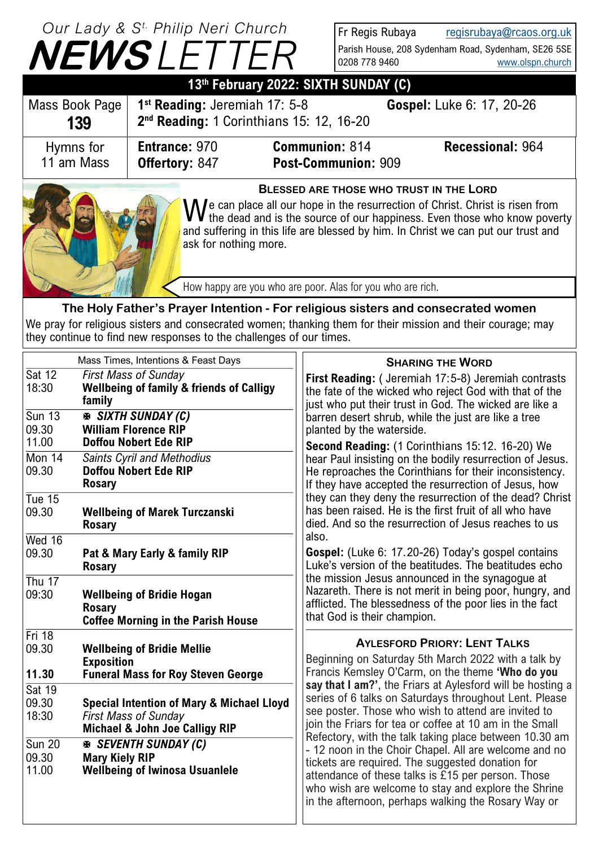|                                                                                                                                                                                                                                                                                                                              | Our Lady & S <sup>t.</sup> Philip Neri Church<br><b>NEWSLETTER</b> |                                                                          | Fr Regis Rubaya<br>0208 778 9460 | regisrubaya@rcaos.org.uk<br>Parish House, 208 Sydenham Road, Sydenham, SE26 5SE<br>www.olspn.church |
|------------------------------------------------------------------------------------------------------------------------------------------------------------------------------------------------------------------------------------------------------------------------------------------------------------------------------|--------------------------------------------------------------------|--------------------------------------------------------------------------|----------------------------------|-----------------------------------------------------------------------------------------------------|
| 13th February 2022: SIXTH SUNDAY (C)                                                                                                                                                                                                                                                                                         |                                                                    |                                                                          |                                  |                                                                                                     |
| Mass Book Page<br>139                                                                                                                                                                                                                                                                                                        | 1 <sup>st</sup> Reading: Jeremiah 17: 5-8                          | 2 <sup>nd</sup> Reading: 1 Corinthians 15: 12, 16-20                     |                                  | Gospel: Luke 6: 17, 20-26                                                                           |
| Hymns for<br>11 am Mass                                                                                                                                                                                                                                                                                                      | <b>Entrance: 970</b><br><b>Offertory: 847</b>                      | <b>Communion: 814</b><br>Post-Communion: 909                             |                                  | Recessional: 964                                                                                    |
| <b>BLESSED ARE THOSE WHO TRUST IN THE LORD</b><br>We can place all our hope in the resurrection of Christ. Christ is risen from<br>We the dead and is the source of our happiness. Even those who know poverty<br>and suffering in this life are blessed by him. In Christ we can put our trust and<br>ask for nothing more. |                                                                    |                                                                          |                                  |                                                                                                     |
|                                                                                                                                                                                                                                                                                                                              |                                                                    | How happy are you who are poor. Alas for you who are rich.               |                                  |                                                                                                     |
|                                                                                                                                                                                                                                                                                                                              |                                                                    | Fallanda Musica hitanttin - Familitations stating and consequents direct |                                  |                                                                                                     |

**The Holy Father's Prayer Intention - For religious sisters and consecrated women** We pray for religious sisters and consecrated women; thanking them for their mission and their courage; may they continue to find new responses to the challenges of our times.

|                                                                                        | Mass Times, Intentions & Feast Days                                                                                                                                                                                              | <b>SHARING THE WORD</b>                                                                                                                                                                                                                                                                                                                                                                                                                                                                        |  |
|----------------------------------------------------------------------------------------|----------------------------------------------------------------------------------------------------------------------------------------------------------------------------------------------------------------------------------|------------------------------------------------------------------------------------------------------------------------------------------------------------------------------------------------------------------------------------------------------------------------------------------------------------------------------------------------------------------------------------------------------------------------------------------------------------------------------------------------|--|
| $\overline{\text{Sat 12}}$<br>18:30                                                    | <b>First Mass of Sunday</b><br><b>Wellbeing of family &amp; friends of Calligy</b><br>family                                                                                                                                     | First Reading: (Jeremiah 17:5-8) Jeremiah contrasts<br>the fate of the wicked who reject God with that of the<br>just who put their trust in God. The wicked are like a                                                                                                                                                                                                                                                                                                                        |  |
| $\overline{\text{Sun }13}$<br>09.30<br>11.00<br>Mon $14$<br>09.30<br>Tue $15$<br>09.30 | <b>E SIXTH SUNDAY (C)</b><br><b>William Florence RIP</b><br><b>Doffou Nobert Ede RIP</b><br>Saints Cyril and Methodius<br><b>Doffou Nobert Ede RIP</b><br><b>Rosary</b><br><b>Wellbeing of Marek Turczanski</b><br><b>Rosary</b> | barren desert shrub, while the just are like a tree<br>planted by the waterside.<br>Second Reading: (1 Corinthians 15:12. 16-20) We<br>hear Paul insisting on the bodily resurrection of Jesus.<br>He reproaches the Corinthians for their inconsistency.<br>If they have accepted the resurrection of Jesus, how<br>they can they deny the resurrection of the dead? Christ<br>has been raised. He is the first fruit of all who have<br>died. And so the resurrection of Jesus reaches to us |  |
| Wed 16<br>09.30                                                                        | Pat & Mary Early & family RIP<br><b>Rosary</b>                                                                                                                                                                                   | also.<br>Gospel: (Luke 6: 17.20-26) Today's gospel contains<br>Luke's version of the beatitudes. The beatitudes echo                                                                                                                                                                                                                                                                                                                                                                           |  |
| Thu $17$<br>09:30                                                                      | <b>Wellbeing of Bridie Hogan</b><br><b>Rosary</b><br><b>Coffee Morning in the Parish House</b>                                                                                                                                   | the mission Jesus announced in the synagogue at<br>Nazareth. There is not merit in being poor, hungry, and<br>afflicted. The blessedness of the poor lies in the fact<br>that God is their champion.                                                                                                                                                                                                                                                                                           |  |
| Fri $18$<br>09.30<br>11.30                                                             | <b>Wellbeing of Bridie Mellie</b><br><b>Exposition</b><br><b>Funeral Mass for Roy Steven George</b>                                                                                                                              | <b>AYLESFORD PRIORY: LENT TALKS</b><br>Beginning on Saturday 5th March 2022 with a talk by<br>Francis Kemsley O'Carm, on the theme 'Who do you                                                                                                                                                                                                                                                                                                                                                 |  |
| Sat 19<br>09.30<br>18:30                                                               | <b>Special Intention of Mary &amp; Michael Lloyd</b><br><b>First Mass of Sunday</b><br><b>Michael &amp; John Joe Calligy RIP</b>                                                                                                 | say that I am?', the Friars at Aylesford will be hosting a<br>series of 6 talks on Saturdays throughout Lent. Please<br>see poster. Those who wish to attend are invited to<br>join the Friars for tea or coffee at 10 am in the Small                                                                                                                                                                                                                                                         |  |
| $\overline{\text{Sun }20}$<br>09.30<br>11.00                                           | <b>E SEVENTH SUNDAY (C)</b><br><b>Mary Kiely RIP</b><br><b>Wellbeing of Iwinosa Usuanlele</b>                                                                                                                                    | Refectory, with the talk taking place between 10.30 am<br>- 12 noon in the Choir Chapel. All are welcome and no<br>tickets are required. The suggested donation for<br>attendance of these talks is £15 per person. Those<br>who wish are welcome to stay and explore the Shrine<br>in the afternoon, perhaps walking the Rosary Way or                                                                                                                                                        |  |